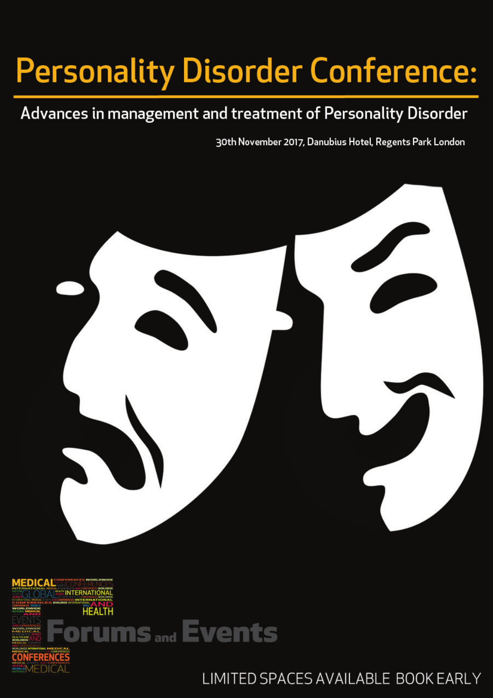# **Personality Disorder Conference:**

### Advances in management and treatment of Personality Disorder

30th November 2017, Danubius Hotel, Regents Park London





LIMITED SPACES AVAILABLE BOOK EARLY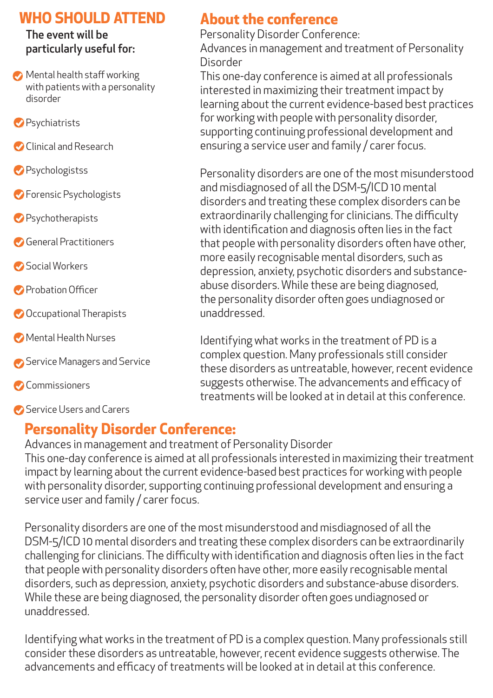#### **WHO SHOULD ATTEND About the conference**

#### The event will be particularly useful for:

- **Mental health staff working** with patients with a personality disorder
- **Psychiatrists**
- Clinical and Research
- **Psychologistss**
- **S** Forensic Psychologists
- Psychotherapists
- General Practitioners
- Social Workers
- **Probation Officer**
- Occupational Therapists
- Mental Health Nurses
- Service Managers and Service
- **Commissioners**

Service Users and Carers

Personality Disorder Conference: Advances in management and treatment of Personality Disorder

This one-day conference is aimed at all professionals interested in maximizing their treatment impact by learning about the current evidence-based best practices for working with people with personality disorder, supporting continuing professional development and ensuring a service user and family / carer focus.

Personality disorders are one of the most misunderstood and misdiagnosed of all the DSM-5/ICD 10 mental disorders and treating these complex disorders can be extraordinarily challenging for clinicians. The difficulty with identification and diagnosis often lies in the fact that people with personality disorders often have other, more easily recognisable mental disorders, such as depression, anxiety, psychotic disorders and substanceabuse disorders. While these are being diagnosed, the personality disorder often goes undiagnosed or unaddressed.

Identifying what works in the treatment of PD is a complex question. Many professionals still consider these disorders as untreatable, however, recent evidence suggests otherwise. The advancements and efficacy of treatments will be looked at in detail at this conference.

### **Personality Disorder Conference:**

Advances in management and treatment of Personality Disorder This one-day conference is aimed at all professionals interested in maximizing their treatment impact by learning about the current evidence-based best practices for working with people with personality disorder, supporting continuing professional development and ensuring a service user and family / carer focus.

Personality disorders are one of the most misunderstood and misdiagnosed of all the DSM-5/ICD 10 mental disorders and treating these complex disorders can be extraordinarily challenging for clinicians. The difficulty with identification and diagnosis often lies in the fact that people with personality disorders often have other, more easily recognisable mental disorders, such as depression, anxiety, psychotic disorders and substance-abuse disorders. While these are being diagnosed, the personality disorder often goes undiagnosed or unaddressed.

Identifying what works in the treatment of PD is a complex question. Many professionals still consider these disorders as untreatable, however, recent evidence suggests otherwise. The advancements and efficacy of treatments will be looked at in detail at this conference.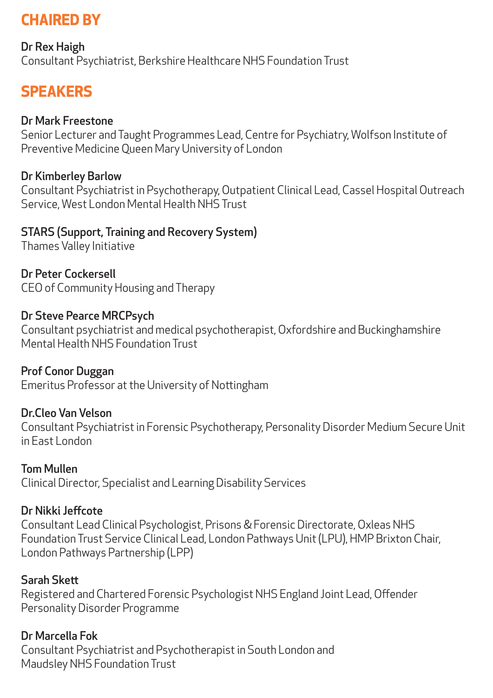### **CHAIRED BY**

Dr Rex Haigh Consultant Psychiatrist, Berkshire Healthcare NHS Foundation Trust

### **SPEAKERS**

#### Dr Mark Freestone

Senior Lecturer and Taught Programmes Lead, Centre for Psychiatry, Wolfson Institute of Preventive Medicine Queen Mary University of London

#### Dr Kimberley Barlow

Consultant Psychiatrist in Psychotherapy, Outpatient Clinical Lead, Cassel Hospital Outreach Service, West London Mental Health NHS Trust

#### STARS (Support, Training and Recovery System)

Thames Valley Initiative

Dr Peter Cockersell CEO of Community Housing and Therapy

#### Dr Steve Pearce MRCPsych

Consultant psychiatrist and medical psychotherapist, Oxfordshire and Buckinghamshire Mental Health NHS Foundation Trust

Prof Conor Duggan Emeritus Professor at the University of Nottingham

#### Dr.Cleo Van Velson

Consultant Psychiatrist in Forensic Psychotherapy, Personality Disorder Medium Secure Unit in East London

#### Tom Mullen

Clinical Director, Specialist and Learning Disability Services

#### Dr Nikki Jeffcote

Consultant Lead Clinical Psychologist, Prisons & Forensic Directorate, Oxleas NHS Foundation Trust Service Clinical Lead, London Pathways Unit (LPU), HMP Brixton Chair, London Pathways Partnership (LPP)

#### Sarah Skett

Registered and Chartered Forensic Psychologist NHS England Joint Lead, Offender Personality Disorder Programme

#### Dr Marcella Fok

Consultant Psychiatrist and Psychotherapist in South London and Maudsley NHS Foundation Trust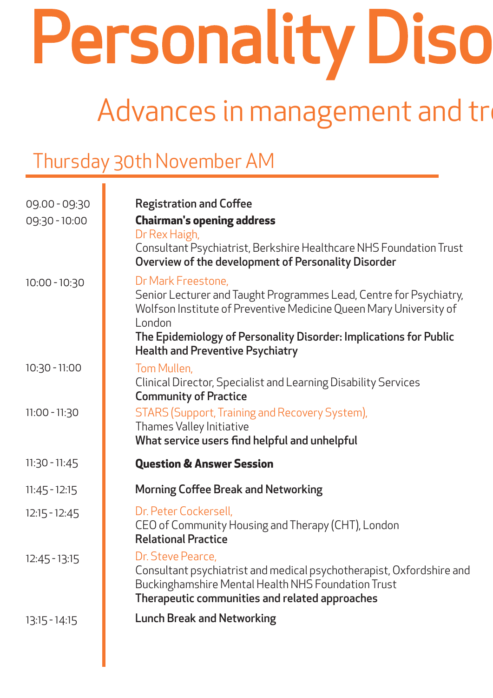Personality Diso

# Advances in management and treatment

## Thursday 30th November AM

| 09.00 - 09:30<br>09:30 - 10:00 | <b>Registration and Coffee</b><br><b>Chairman's opening address</b><br>Dr Rex Haigh,                                                                                                                                                                                                    |  |  |
|--------------------------------|-----------------------------------------------------------------------------------------------------------------------------------------------------------------------------------------------------------------------------------------------------------------------------------------|--|--|
|                                | Consultant Psychiatrist, Berkshire Healthcare NHS Foundation Trust<br><b>Overview of the development of Personality Disorder</b>                                                                                                                                                        |  |  |
| $10:00 - 10:30$                | Dr Mark Freestone,<br>Senior Lecturer and Taught Programmes Lead, Centre for Psychiatry,<br>Wolfson Institute of Preventive Medicine Queen Mary University of<br>London<br>The Epidemiology of Personality Disorder: Implications for Public<br><b>Health and Preventive Psychiatry</b> |  |  |
| $10:30 - 11:00$                | Tom Mullen,<br>Clinical Director, Specialist and Learning Disability Services<br><b>Community of Practice</b>                                                                                                                                                                           |  |  |
| $11:00 - 11:30$                | <b>STARS (Support, Training and Recovery System),</b><br>Thames Valley Initiative<br>What service users find helpful and unhelpful                                                                                                                                                      |  |  |
| $11:30 - 11:45$                | <b>Question &amp; Answer Session</b>                                                                                                                                                                                                                                                    |  |  |
| $11:45 - 12:15$                | <b>Morning Coffee Break and Networking</b>                                                                                                                                                                                                                                              |  |  |
| $12:15 - 12:45$                | Dr. Peter Cockersell,<br>CEO of Community Housing and Therapy (CHT), London<br><b>Relational Practice</b>                                                                                                                                                                               |  |  |
| $12:45 - 13:15$                | Dr. Steve Pearce<br>Consultant psychiatrist and medical psychotherapist, Oxfordshire and<br>Buckinghamshire Mental Health NHS Foundation Trust<br>Therapeutic communities and related approaches                                                                                        |  |  |
| $13:15 - 14:15$                | <b>Lunch Break and Networking</b>                                                                                                                                                                                                                                                       |  |  |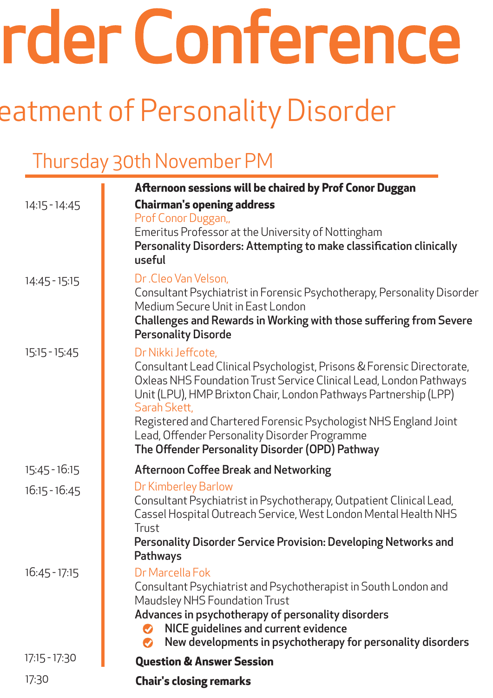# rder Conference

# eatment of Personality Disorder

# Thursday 30th November PM

|                 | <b>Afternoon sessions will be chaired by Prof Conor Duggan</b>                                                                                                                                                                                                                                                                                                                                                                 |  |  |
|-----------------|--------------------------------------------------------------------------------------------------------------------------------------------------------------------------------------------------------------------------------------------------------------------------------------------------------------------------------------------------------------------------------------------------------------------------------|--|--|
| $14:15 - 14:45$ | <b>Chairman's opening address</b>                                                                                                                                                                                                                                                                                                                                                                                              |  |  |
|                 | Prof Conor Duggan,<br>Emeritus Professor at the University of Nottingham<br>Personality Disorders: Attempting to make classification clinically<br>useful                                                                                                                                                                                                                                                                      |  |  |
| 14:45 - 15:15   | Dr.Cleo Van Velson,<br>Consultant Psychiatrist in Forensic Psychotherapy, Personality Disorder<br>Medium Secure Unit in East London<br>Challenges and Rewards in Working with those suffering from Severe<br><b>Personality Disorde</b>                                                                                                                                                                                        |  |  |
| $15:15 - 15:45$ | Dr Nikki Jeffcote,<br>Consultant Lead Clinical Psychologist, Prisons & Forensic Directorate,<br>Oxleas NHS Foundation Trust Service Clinical Lead, London Pathways<br>Unit (LPU), HMP Brixton Chair, London Pathways Partnership (LPP)<br>Sarah Skett,<br>Registered and Chartered Forensic Psychologist NHS England Joint<br>Lead, Offender Personality Disorder Programme<br>The Offender Personality Disorder (OPD) Pathway |  |  |
| $15:45 - 16:15$ | <b>Afternoon Coffee Break and Networking</b>                                                                                                                                                                                                                                                                                                                                                                                   |  |  |
| $16:15 - 16:45$ | Dr Kimberley Barlow<br>Consultant Psychiatrist in Psychotherapy, Outpatient Clinical Lead,<br>Cassel Hospital Outreach Service, West London Mental Health NHS<br>Trust<br>Personality Disorder Service Provision: Developing Networks and                                                                                                                                                                                      |  |  |
| $16:45 - 17:15$ | <b>Pathways</b><br>Dr Marcella Fok<br>Consultant Psychiatrist and Psychotherapist in South London and<br>Maudsley NHS Foundation Trust<br>Advances in psychotherapy of personality disorders<br>NICE guidelines and current evidence<br>New developments in psychotherapy for personality disorders                                                                                                                            |  |  |
| $17:15 - 17:30$ | <b>Question &amp; Answer Session</b>                                                                                                                                                                                                                                                                                                                                                                                           |  |  |
| 17:30           | <b>Chair's closing remarks</b>                                                                                                                                                                                                                                                                                                                                                                                                 |  |  |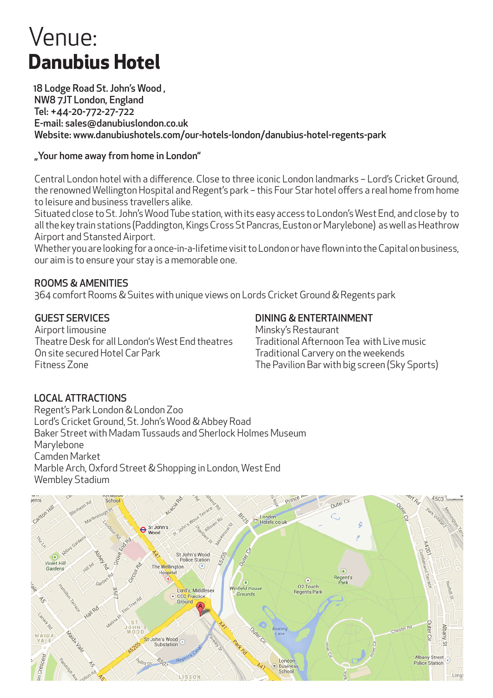# Venue: **Danubius Hotel**

 18 Lodge Road St. John's Wood , NW8 7JT London, England Tel: +44-20-772-27-722 E-mail: sales@danubiuslondon.co.uk Website: www.danubiushotels.com/our-hotels-london/danubius-hotel-regents-park

#### "Your home away from home in London"

Central London hotel with a difference. Close to three iconic London landmarks – Lord's Cricket Ground, the renowned Wellington Hospital and Regent's park – this Four Star hotel offers a real home from home to leisure and business travellers alike.

Situated close to St. John's Wood Tube station, with its easy access to London's West End, and close by to all the key train stations (Paddington, Kings Cross St Pancras, Euston or Marylebone) as well as Heathrow Airport and Stansted Airport.

Whether you are looking for a once-in-a-lifetime visit to London or have flown into the Capital on business, our aim is to ensure your stay is a memorable one.

#### ROOMS & AMENITIES

364 comfort Rooms & Suites with unique views on Lords Cricket Ground & Regents park

#### GUEST SERVICES

Airport limousine Theatre Desk for all London's West End theatres On site secured Hotel Car Park Fitness Zone

#### DINING & ENTERTAINMENT

Minsky's Restaurant Traditional Afternoon Tea with Live music Traditional Carvery on the weekends The Pavilion Bar with big screen (Sky Sports)

#### LOCAL ATTRACTIONS

Regent's Park London & London Zoo Lord's Cricket Ground, St. John's Wood & Abbey Road Baker Street with Madam Tussauds and Sherlock Holmes Museum Marylebone Camden Market Marble Arch, Oxford Street & Shopping in London, West End Wembley Stadium